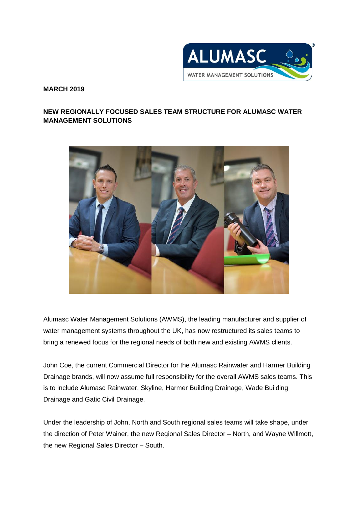

**MARCH 2019**

## **NEW REGIONALLY FOCUSED SALES TEAM STRUCTURE FOR ALUMASC WATER MANAGEMENT SOLUTIONS**



Alumasc Water Management Solutions (AWMS), the leading manufacturer and supplier of water management systems throughout the UK, has now restructured its sales teams to bring a renewed focus for the regional needs of both new and existing AWMS clients.

John Coe, the current Commercial Director for the Alumasc Rainwater and Harmer Building Drainage brands, will now assume full responsibility for the overall AWMS sales teams. This is to include Alumasc Rainwater, Skyline, Harmer Building Drainage, Wade Building Drainage and Gatic Civil Drainage.

Under the leadership of John, North and South regional sales teams will take shape, under the direction of Peter Wainer, the new Regional Sales Director – North, and Wayne Willmott, the new Regional Sales Director – South.